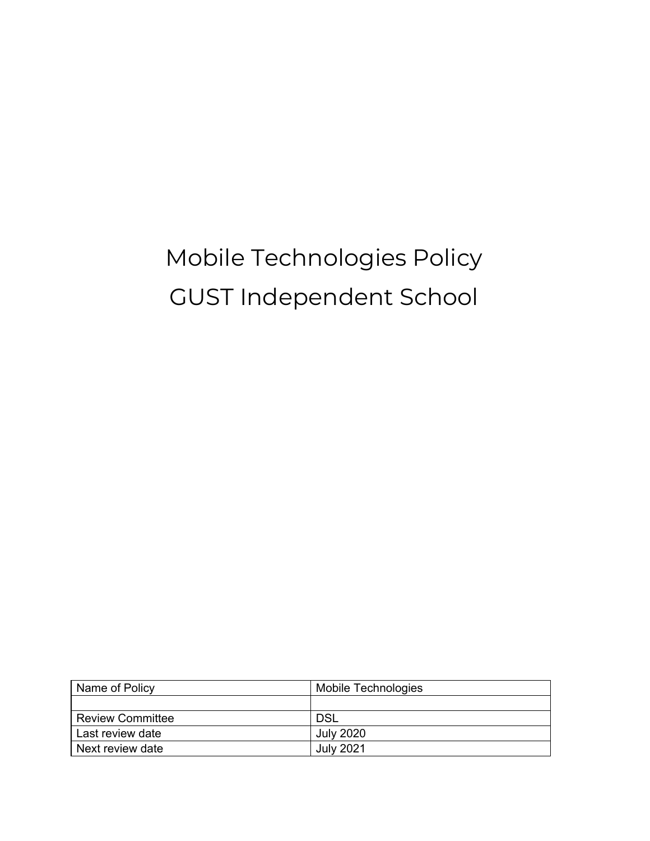## Mobile Technologies Policy GUST Independent School

| Name of Policy          | Mobile Technologies |  |  |
|-------------------------|---------------------|--|--|
|                         |                     |  |  |
| <b>Review Committee</b> | <b>DSL</b>          |  |  |
| Last review date        | <b>July 2020</b>    |  |  |
| Next review date        | <b>July 2021</b>    |  |  |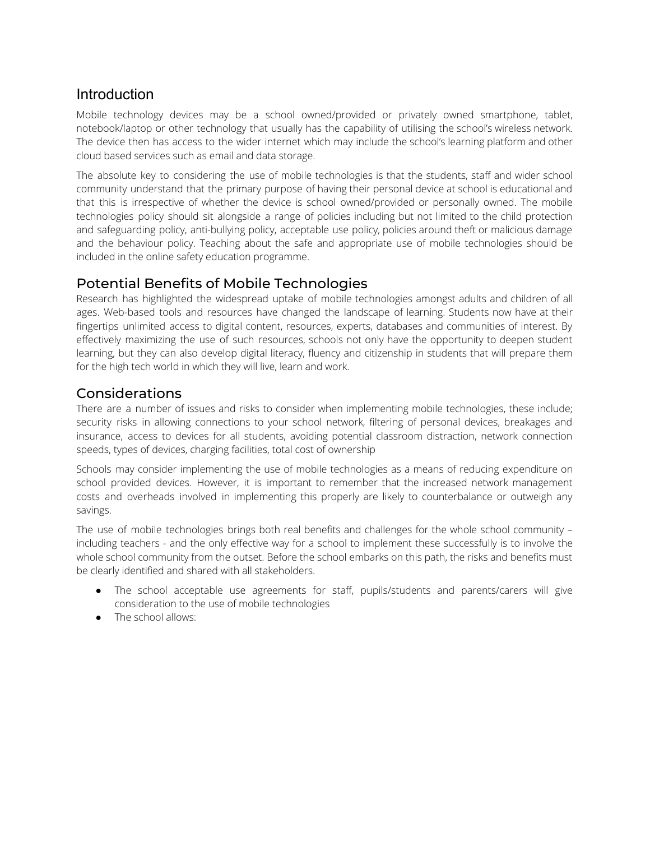## Introduction

Mobile technology devices may be a school owned/provided or privately owned smartphone, tablet, notebook/laptop or other technology that usually has the capability of utilising the school's wireless network. The device then has access to the wider internet which may include the school's learning platform and other cloud based services such as email and data storage.

The absolute key to considering the use of mobile technologies is that the students, staff and wider school community understand that the primary purpose of having their personal device at school is educational and that this is irrespective of whether the device is school owned/provided or personally owned. The mobile technologies policy should sit alongside a range of policies including but not limited to the child protection and safeguarding policy, anti-bullying policy, acceptable use policy, policies around theft or malicious damage and the behaviour policy. Teaching about the safe and appropriate use of mobile technologies should be included in the online safety education programme.

## Potential Benefits of Mobile Technologies

Research has highlighted the widespread uptake of mobile technologies amongst adults and children of all ages. Web-based tools and resources have changed the landscape of learning. Students now have at their fingertips unlimited access to digital content, resources, experts, databases and communities of interest. By effectively maximizing the use of such resources, schools not only have the opportunity to deepen student learning, but they can also develop digital literacy, fluency and citizenship in students that will prepare them for the high tech world in which they will live, learn and work.

## Considerations

There are a number of issues and risks to consider when implementing mobile technologies, these include; security risks in allowing connections to your school network, filtering of personal devices, breakages and insurance, access to devices for all students, avoiding potential classroom distraction, network connection speeds, types of devices, charging facilities, total cost of ownership

Schools may consider implementing the use of mobile technologies as a means of reducing expenditure on school provided devices. However, it is important to remember that the increased network management costs and overheads involved in implementing this properly are likely to counterbalance or outweigh any savings.

The use of mobile technologies brings both real benefits and challenges for the whole school community – including teachers - and the only effective way for a school to implement these successfully is to involve the whole school community from the outset. Before the school embarks on this path, the risks and benefits must be clearly identified and shared with all stakeholders.

- The school acceptable use agreements for staff, pupils/students and parents/carers will give consideration to the use of mobile technologies
- The school allows: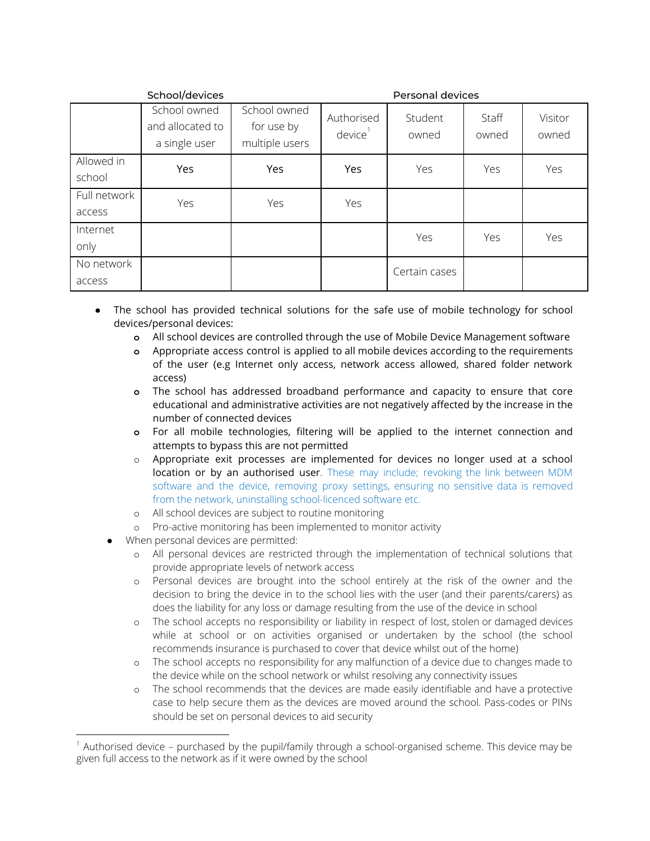| School/devices         |                                                   |                                              | Personal devices                  |                  |                |                  |
|------------------------|---------------------------------------------------|----------------------------------------------|-----------------------------------|------------------|----------------|------------------|
|                        | School owned<br>and allocated to<br>a single user | School owned<br>for use by<br>multiple users | Authorised<br>device <sup>1</sup> | Student<br>owned | Staff<br>owned | Visitor<br>owned |
| Allowed in<br>school   | Yes                                               | Yes                                          | Yes                               | Yes              | Yes            | Yes              |
| Full network<br>access | Yes                                               | Yes                                          | Yes                               |                  |                |                  |
| Internet<br>only       |                                                   |                                              |                                   | Yes              | Yes            | Yes              |
| No network<br>access   |                                                   |                                              |                                   | Certain cases    |                |                  |

The school has provided technical solutions for the safe use of mobile technology for school devices/personal devices:

- **o** All school devices are controlled through the use of Mobile Device Management software
- **o** Appropriate access control is applied to all mobile devices according to the requirements of the user (e.g Internet only access, network access allowed, shared folder network access)
- **o** The school has addressed broadband performance and capacity to ensure that core educational and administrative activities are not negatively affected by the increase in the number of connected devices
- **o** For all mobile technologies, filtering will be applied to the internet connection and attempts to bypass this are not permitted
- $\circ$  Appropriate exit processes are implemented for devices no longer used at a school location or by an authorised user. These may include; revoking the link between MDM software and the device, removing proxy settings, ensuring no sensitive data is removed from the network, uninstalling school-licenced software etc.
- o All school devices are subject to routine monitoring
- o Pro-active monitoring has been implemented to monitor activity
- When personal devices are permitted:
	- o All personal devices are restricted through the implementation of technical solutions that provide appropriate levels of network access
	- o Personal devices are brought into the school entirely at the risk of the owner and the decision to bring the device in to the school lies with the user (and their parents/carers) as does the liability for any loss or damage resulting from the use of the device in school
	- o The school accepts no responsibility or liability in respect of lost, stolen or damaged devices while at school or on activities organised or undertaken by the school (the school recommends insurance is purchased to cover that device whilst out of the home)
	- o The school accepts no responsibility for any malfunction of a device due to changes made to the device while on the school network or whilst resolving any connectivity issues
	- o The school recommends that the devices are made easily identifiable and have a protective case to help secure them as the devices are moved around the school. Pass-codes or PINs should be set on personal devices to aid security

<sup>1</sup> Authorised device – purchased by the pupil/family through a school-organised scheme. This device may be given full access to the network as if it were owned by the school